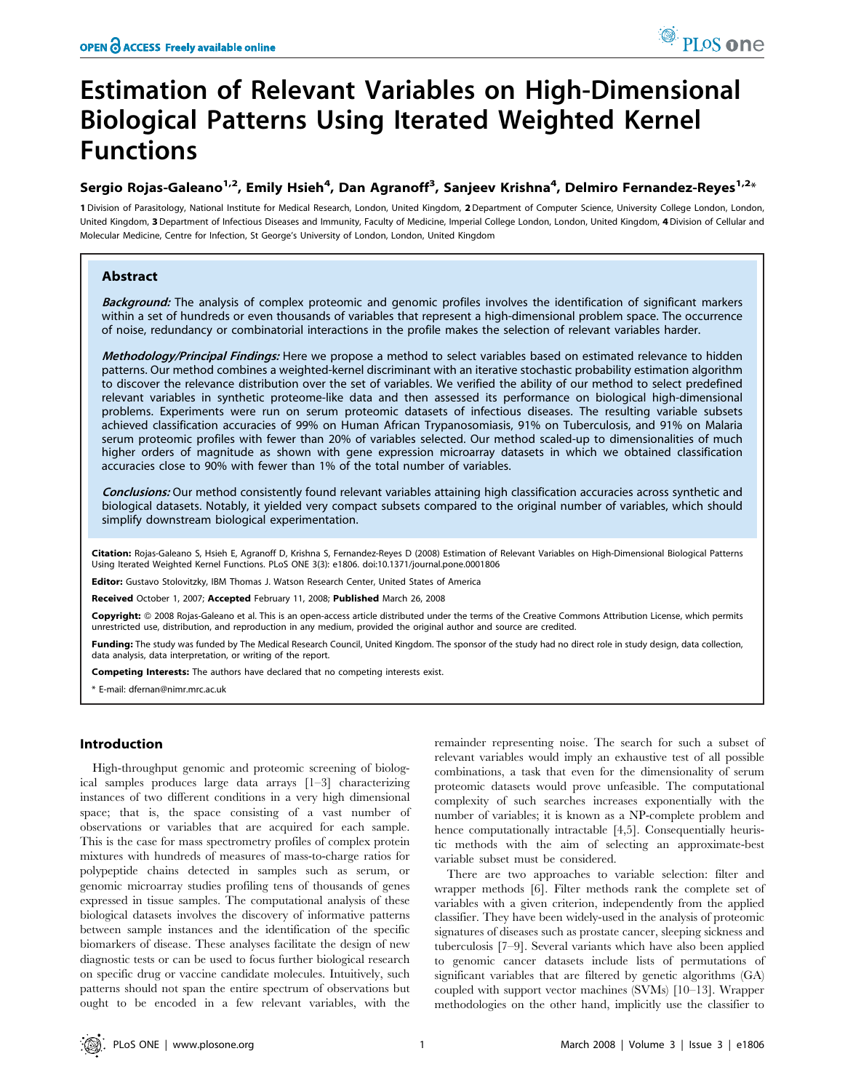# Estimation of Relevant Variables on High-Dimensional Biological Patterns Using Iterated Weighted Kernel Functions

# Sergio Rojas-Galeano<sup>1,2</sup>, Emily Hsieh<sup>4</sup>, Dan Agranoff<sup>3</sup>, Sanjeev Krishna<sup>4</sup>, Delmiro Fernandez-Reyes<sup>1,2</sup>\*

1 Division of Parasitology, National Institute for Medical Research, London, United Kingdom, 2 Department of Computer Science, University College London, London, United Kingdom, 3 Department of Infectious Diseases and Immunity, Faculty of Medicine, Imperial College London, London, United Kingdom, 4 Division of Cellular and Molecular Medicine, Centre for Infection, St George's University of London, London, United Kingdom

# Abstract

Background: The analysis of complex proteomic and genomic profiles involves the identification of significant markers within a set of hundreds or even thousands of variables that represent a high-dimensional problem space. The occurrence of noise, redundancy or combinatorial interactions in the profile makes the selection of relevant variables harder.

Methodology/Principal Findings: Here we propose a method to select variables based on estimated relevance to hidden patterns. Our method combines a weighted-kernel discriminant with an iterative stochastic probability estimation algorithm to discover the relevance distribution over the set of variables. We verified the ability of our method to select predefined relevant variables in synthetic proteome-like data and then assessed its performance on biological high-dimensional problems. Experiments were run on serum proteomic datasets of infectious diseases. The resulting variable subsets achieved classification accuracies of 99% on Human African Trypanosomiasis, 91% on Tuberculosis, and 91% on Malaria serum proteomic profiles with fewer than 20% of variables selected. Our method scaled-up to dimensionalities of much higher orders of magnitude as shown with gene expression microarray datasets in which we obtained classification accuracies close to 90% with fewer than 1% of the total number of variables.

Conclusions: Our method consistently found relevant variables attaining high classification accuracies across synthetic and biological datasets. Notably, it yielded very compact subsets compared to the original number of variables, which should simplify downstream biological experimentation.

Citation: Rojas-Galeano S, Hsieh E, Agranoff D, Krishna S, Fernandez-Reyes D (2008) Estimation of Relevant Variables on High-Dimensional Biological Patterns Using Iterated Weighted Kernel Functions. PLoS ONE 3(3): e1806. doi:10.1371/journal.pone.0001806

**Editor:** Gustavo Stolovitzky, IBM Thomas J. Watson Research Center, United States of America

Received October 1, 2007; Accepted February 11, 2008; Published March 26, 2008

Copyright: © 2008 Rojas-Galeano et al. This is an open-access article distributed under the terms of the Creative Commons Attribution License, which permits unrestricted use, distribution, and reproduction in any medium, provided the original author and source are credited.

Funding: The study was funded by The Medical Research Council, United Kingdom. The sponsor of the study had no direct role in study design, data collection, data analysis, data interpretation, or writing of the report.

Competing Interests: The authors have declared that no competing interests exist.

\* E-mail: dfernan@nimr.mrc.ac.uk

# Introduction

High-throughput genomic and proteomic screening of biological samples produces large data arrays [1–3] characterizing instances of two different conditions in a very high dimensional space; that is, the space consisting of a vast number of observations or variables that are acquired for each sample. This is the case for mass spectrometry profiles of complex protein mixtures with hundreds of measures of mass-to-charge ratios for polypeptide chains detected in samples such as serum, or genomic microarray studies profiling tens of thousands of genes expressed in tissue samples. The computational analysis of these biological datasets involves the discovery of informative patterns between sample instances and the identification of the specific biomarkers of disease. These analyses facilitate the design of new diagnostic tests or can be used to focus further biological research on specific drug or vaccine candidate molecules. Intuitively, such patterns should not span the entire spectrum of observations but ought to be encoded in a few relevant variables, with the

remainder representing noise. The search for such a subset of relevant variables would imply an exhaustive test of all possible combinations, a task that even for the dimensionality of serum proteomic datasets would prove unfeasible. The computational complexity of such searches increases exponentially with the number of variables; it is known as a NP-complete problem and hence computationally intractable [4,5]. Consequentially heuristic methods with the aim of selecting an approximate-best variable subset must be considered.

There are two approaches to variable selection: filter and wrapper methods [6]. Filter methods rank the complete set of variables with a given criterion, independently from the applied classifier. They have been widely-used in the analysis of proteomic signatures of diseases such as prostate cancer, sleeping sickness and tuberculosis [7–9]. Several variants which have also been applied to genomic cancer datasets include lists of permutations of significant variables that are filtered by genetic algorithms (GA) coupled with support vector machines (SVMs) [10–13]. Wrapper methodologies on the other hand, implicitly use the classifier to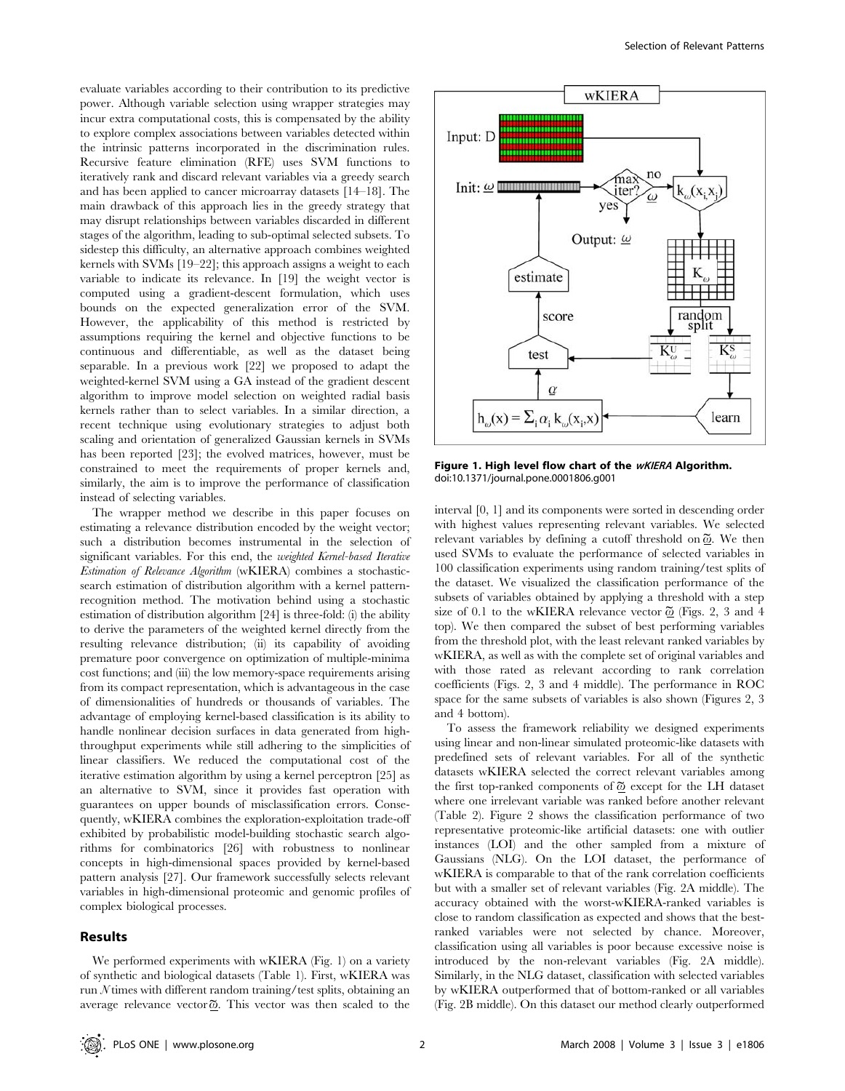evaluate variables according to their contribution to its predictive power. Although variable selection using wrapper strategies may incur extra computational costs, this is compensated by the ability to explore complex associations between variables detected within the intrinsic patterns incorporated in the discrimination rules. Recursive feature elimination (RFE) uses SVM functions to iteratively rank and discard relevant variables via a greedy search and has been applied to cancer microarray datasets [14–18]. The main drawback of this approach lies in the greedy strategy that may disrupt relationships between variables discarded in different stages of the algorithm, leading to sub-optimal selected subsets. To sidestep this difficulty, an alternative approach combines weighted kernels with SVMs [19–22]; this approach assigns a weight to each variable to indicate its relevance. In [19] the weight vector is computed using a gradient-descent formulation, which uses bounds on the expected generalization error of the SVM. However, the applicability of this method is restricted by assumptions requiring the kernel and objective functions to be continuous and differentiable, as well as the dataset being separable. In a previous work [22] we proposed to adapt the weighted-kernel SVM using a GA instead of the gradient descent algorithm to improve model selection on weighted radial basis kernels rather than to select variables. In a similar direction, a recent technique using evolutionary strategies to adjust both scaling and orientation of generalized Gaussian kernels in SVMs has been reported [23]; the evolved matrices, however, must be constrained to meet the requirements of proper kernels and, similarly, the aim is to improve the performance of classification instead of selecting variables.

The wrapper method we describe in this paper focuses on estimating a relevance distribution encoded by the weight vector; such a distribution becomes instrumental in the selection of significant variables. For this end, the weighted Kernel-based Iterative Estimation of Relevance Algorithm (wKIERA) combines a stochasticsearch estimation of distribution algorithm with a kernel patternrecognition method. The motivation behind using a stochastic estimation of distribution algorithm [24] is three-fold: (i) the ability to derive the parameters of the weighted kernel directly from the resulting relevance distribution; (ii) its capability of avoiding premature poor convergence on optimization of multiple-minima cost functions; and (iii) the low memory-space requirements arising from its compact representation, which is advantageous in the case of dimensionalities of hundreds or thousands of variables. The advantage of employing kernel-based classification is its ability to handle nonlinear decision surfaces in data generated from highthroughput experiments while still adhering to the simplicities of linear classifiers. We reduced the computational cost of the iterative estimation algorithm by using a kernel perceptron [25] as an alternative to SVM, since it provides fast operation with guarantees on upper bounds of misclassification errors. Consequently, wKIERA combines the exploration-exploitation trade-off exhibited by probabilistic model-building stochastic search algorithms for combinatorics [26] with robustness to nonlinear concepts in high-dimensional spaces provided by kernel-based pattern analysis [27]. Our framework successfully selects relevant variables in high-dimensional proteomic and genomic profiles of complex biological processes.

# Results

We performed experiments with wKIERA (Fig. 1) on a variety of synthetic and biological datasets (Table 1). First, wKIERA was run  $N$  times with different random training/test splits, obtaining an average relevance vector  $\tilde{\omega}$ . This vector was then scaled to the



Figure 1. High level flow chart of the **wKIERA** Algorithm. doi:10.1371/journal.pone.0001806.g001

interval [0, 1] and its components were sorted in descending order with highest values representing relevant variables. We selected relevant variables by defining a cutoff threshold on  $\widetilde{\omega}$ . We then used SVMs to evaluate the performance of selected variables in 100 classification experiments using random training/test splits of the dataset. We visualized the classification performance of the subsets of variables obtained by applying a threshold with a step size of 0.1 to the wKIERA relevance vector  $\tilde{\omega}$  (Figs. 2, 3 and 4 top). We then compared the subset of best performing variables from the threshold plot, with the least relevant ranked variables by wKIERA, as well as with the complete set of original variables and with those rated as relevant according to rank correlation coefficients (Figs. 2, 3 and 4 middle). The performance in ROC space for the same subsets of variables is also shown (Figures 2, 3 and 4 bottom).

To assess the framework reliability we designed experiments using linear and non-linear simulated proteomic-like datasets with predefined sets of relevant variables. For all of the synthetic datasets wKIERA selected the correct relevant variables among the first top-ranked components of  $\tilde{\omega}$  except for the LH dataset where one irrelevant variable was ranked before another relevant (Table 2). Figure 2 shows the classification performance of two representative proteomic-like artificial datasets: one with outlier instances (LOI) and the other sampled from a mixture of Gaussians (NLG). On the LOI dataset, the performance of wKIERA is comparable to that of the rank correlation coefficients but with a smaller set of relevant variables (Fig. 2A middle). The accuracy obtained with the worst-wKIERA-ranked variables is close to random classification as expected and shows that the bestranked variables were not selected by chance. Moreover, classification using all variables is poor because excessive noise is introduced by the non-relevant variables (Fig. 2A middle). Similarly, in the NLG dataset, classification with selected variables by wKIERA outperformed that of bottom-ranked or all variables (Fig. 2B middle). On this dataset our method clearly outperformed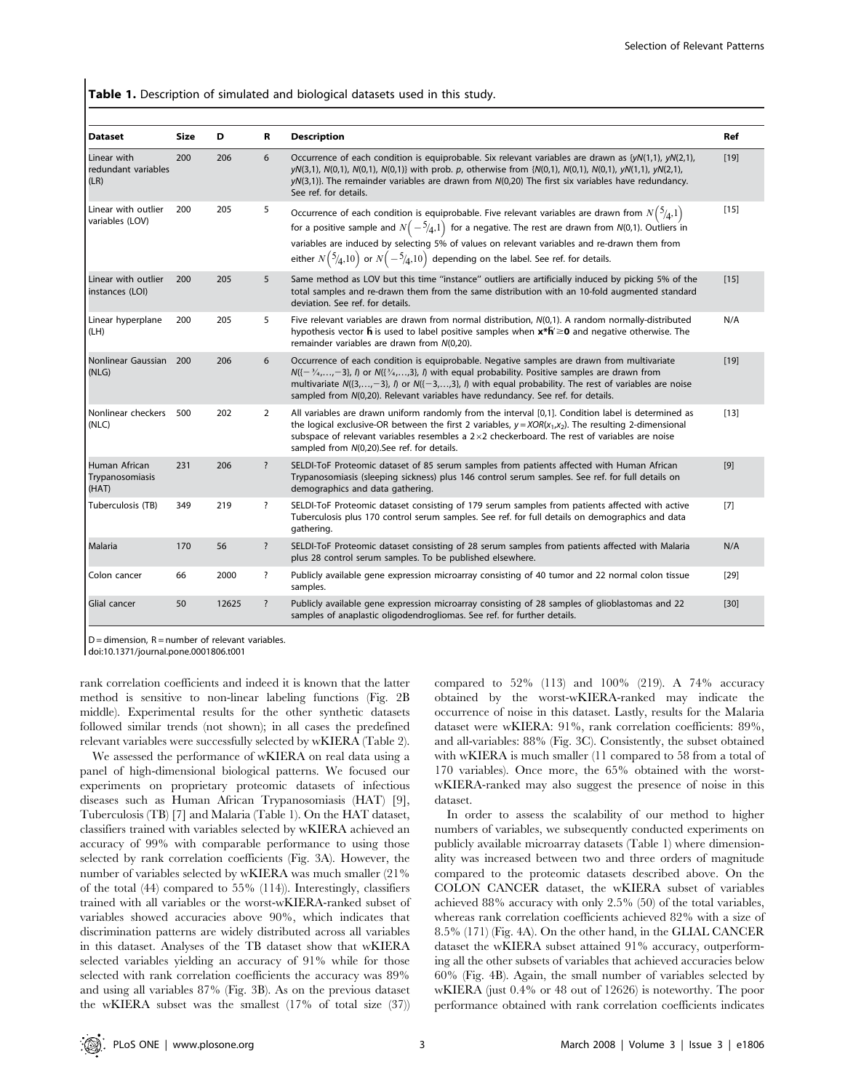Table 1. Description of simulated and biological datasets used in this study.

| <b>Dataset</b>                             | Size | D     | R                       | <b>Description</b>                                                                                                                                                                                                                                                                                                                                                                                                           | Ref    |
|--------------------------------------------|------|-------|-------------------------|------------------------------------------------------------------------------------------------------------------------------------------------------------------------------------------------------------------------------------------------------------------------------------------------------------------------------------------------------------------------------------------------------------------------------|--------|
| Linear with<br>redundant variables<br>(LR) | 200  | 206   | 6                       | Occurrence of each condition is equiprobable. Six relevant variables are drawn as $\{yN(1,1), yN(2,1), yN(2,1)\}$<br>$yN(3,1)$ , $N(0,1)$ , $N(0,1)$ , $N(0,1)$ } with prob. p, otherwise from { $N(0,1)$ , $N(0,1)$ , $N(0,1)$ , $yN(1,1)$ , $yN(2,1)$ ,<br>$yN(3,1)$ }. The remainder variables are drawn from $N(0,20)$ The first six variables have redundancy.<br>See ref. for details.                                 | $[19]$ |
| Linear with outlier<br>variables (LOV)     | 200  | 205   | 5                       | Occurrence of each condition is equiprobable. Five relevant variables are drawn from $N\binom{5}{4,1}$<br>for a positive sample and $N(-5/4,1)$ for a negative. The rest are drawn from $N(0,1)$ . Outliers in<br>variables are induced by selecting 5% of values on relevant variables and re-drawn them from<br>either $N({5}/{4},10)$ or $N(-{5}/{4},10)$ depending on the label. See ref. for details.                   | [15]   |
| Linear with outlier<br>instances (LOI)     | 200  | 205   | 5                       | Same method as LOV but this time "instance" outliers are artificially induced by picking 5% of the<br>total samples and re-drawn them from the same distribution with an 10-fold augmented standard<br>deviation. See ref. for details.                                                                                                                                                                                      | $[15]$ |
| Linear hyperplane<br>(LH)                  | 200  | 205   | 5                       | Five relevant variables are drawn from normal distribution, $N(0,1)$ . A random normally-distributed<br>hypothesis vector $\bar{h}$ is used to label positive samples when $x*\bar{h} \ge 0$ and negative otherwise. The<br>remainder variables are drawn from N(0,20).                                                                                                                                                      | N/A    |
| Nonlinear Gaussian 200<br>(NLG)            |      | 206   | 6                       | Occurrence of each condition is equiprobable. Negative samples are drawn from multivariate<br>$N(\{-3, \ldots, -3\}, l)$ or $N(\{3, \ldots, 3\}, l)$ with equal probability. Positive samples are drawn from<br>multivariate $N(\{3,\ldots,-3\},\,l)$ or $N(\{-3,\ldots,3\},\,l)$ with equal probability. The rest of variables are noise<br>sampled from N(0,20). Relevant variables have redundancy. See ref. for details. | $[19]$ |
| Nonlinear checkers 500<br>(NLC)            |      | 202   | $\overline{2}$          | All variables are drawn uniform randomly from the interval [0,1]. Condition label is determined as<br>the logical exclusive-OR between the first 2 variables, $y = XOR(x_1, x_2)$ . The resulting 2-dimensional<br>subspace of relevant variables resembles a $2\times 2$ checkerboard. The rest of variables are noise<br>sampled from N(0,20). See ref. for details.                                                       | [13]   |
| Human African<br>Trypanosomiasis<br>(HAT)  | 231  | 206   | $\overline{\cdot}$      | SELDI-ToF Proteomic dataset of 85 serum samples from patients affected with Human African<br>Trypanosomiasis (sleeping sickness) plus 146 control serum samples. See ref. for full details on<br>demographics and data gathering.                                                                                                                                                                                            | $[9]$  |
| Tuberculosis (TB)                          | 349  | 219   | $\overline{\cdot}$      | SELDI-ToF Proteomic dataset consisting of 179 serum samples from patients affected with active<br>Tuberculosis plus 170 control serum samples. See ref. for full details on demographics and data<br>gathering.                                                                                                                                                                                                              | $[7]$  |
| Malaria                                    | 170  | 56    | ?                       | SELDI-ToF Proteomic dataset consisting of 28 serum samples from patients affected with Malaria<br>plus 28 control serum samples. To be published elsewhere.                                                                                                                                                                                                                                                                  | N/A    |
| Colon cancer                               | 66   | 2000  | $\overline{\mathbf{?}}$ | Publicly available gene expression microarray consisting of 40 tumor and 22 normal colon tissue<br>samples.                                                                                                                                                                                                                                                                                                                  | $[29]$ |
| Glial cancer                               | 50   | 12625 | $\overline{\cdot}$      | Publicly available gene expression microarray consisting of 28 samples of glioblastomas and 22<br>samples of anaplastic oligodendrogliomas. See ref. for further details.                                                                                                                                                                                                                                                    | $[30]$ |

 $D =$  dimension,  $R =$  number of relevant variables.

doi:10.1371/journal.pone.0001806.t001

rank correlation coefficients and indeed it is known that the latter method is sensitive to non-linear labeling functions (Fig. 2B middle). Experimental results for the other synthetic datasets followed similar trends (not shown); in all cases the predefined relevant variables were successfully selected by wKIERA (Table 2).

We assessed the performance of wKIERA on real data using a panel of high-dimensional biological patterns. We focused our experiments on proprietary proteomic datasets of infectious diseases such as Human African Trypanosomiasis (HAT) [9], Tuberculosis (TB) [7] and Malaria (Table 1). On the HAT dataset, classifiers trained with variables selected by wKIERA achieved an accuracy of 99% with comparable performance to using those selected by rank correlation coefficients (Fig. 3A). However, the number of variables selected by wKIERA was much smaller (21% of the total (44) compared to 55% (114)). Interestingly, classifiers trained with all variables or the worst-wKIERA-ranked subset of variables showed accuracies above 90%, which indicates that discrimination patterns are widely distributed across all variables in this dataset. Analyses of the TB dataset show that wKIERA selected variables yielding an accuracy of 91% while for those selected with rank correlation coefficients the accuracy was 89% and using all variables 87% (Fig. 3B). As on the previous dataset the wKIERA subset was the smallest (17% of total size (37))

compared to 52% (113) and 100% (219). A 74% accuracy obtained by the worst-wKIERA-ranked may indicate the occurrence of noise in this dataset. Lastly, results for the Malaria dataset were wKIERA: 91%, rank correlation coefficients: 89%, and all-variables: 88% (Fig. 3C). Consistently, the subset obtained with wKIERA is much smaller (11 compared to 58 from a total of 170 variables). Once more, the 65% obtained with the worstwKIERA-ranked may also suggest the presence of noise in this dataset.

In order to assess the scalability of our method to higher numbers of variables, we subsequently conducted experiments on publicly available microarray datasets (Table 1) where dimensionality was increased between two and three orders of magnitude compared to the proteomic datasets described above. On the COLON CANCER dataset, the wKIERA subset of variables achieved 88% accuracy with only 2.5% (50) of the total variables, whereas rank correlation coefficients achieved 82% with a size of 8.5% (171) (Fig. 4A). On the other hand, in the GLIAL CANCER dataset the wKIERA subset attained 91% accuracy, outperforming all the other subsets of variables that achieved accuracies below 60% (Fig. 4B). Again, the small number of variables selected by wKIERA (just 0.4% or 48 out of 12626) is noteworthy. The poor performance obtained with rank correlation coefficients indicates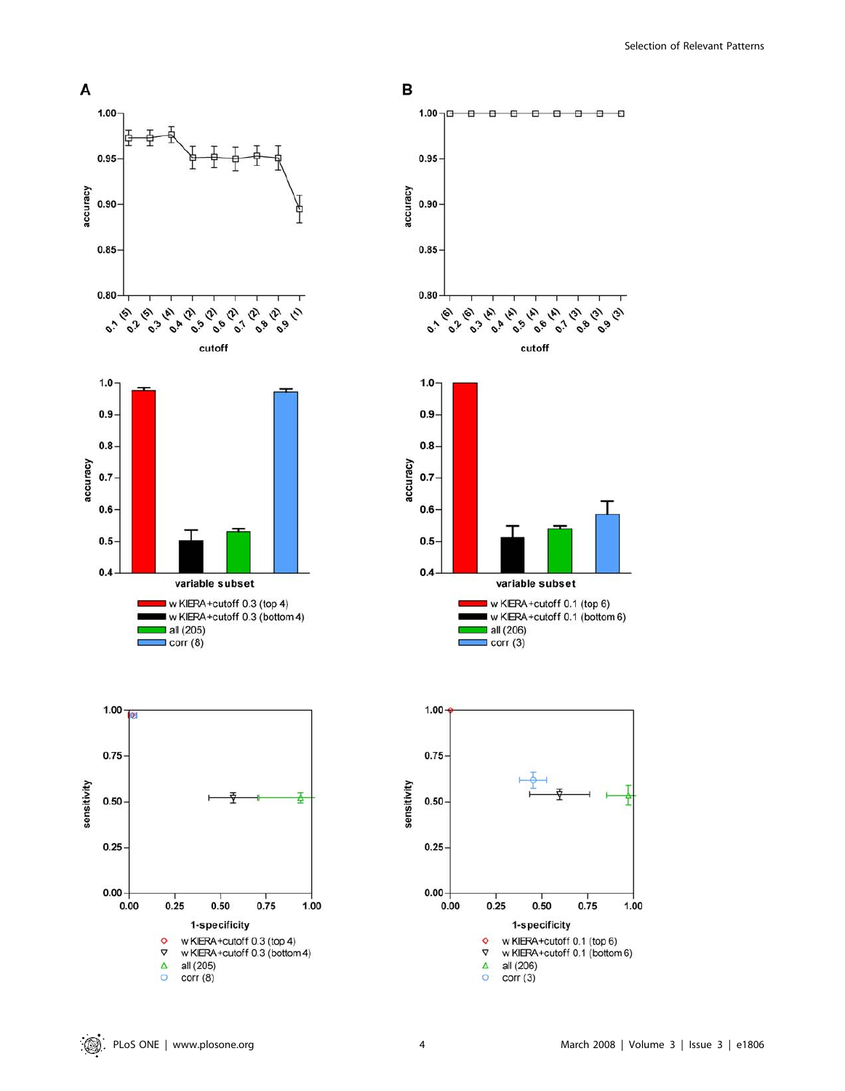Selection of Relevant Patterns









variable subset

all (206)

 $\Box$  corr (3)

w KIERA+cutoff 0.1 (top 6)

w KIERA+cutoff 0.1 (bottom 6)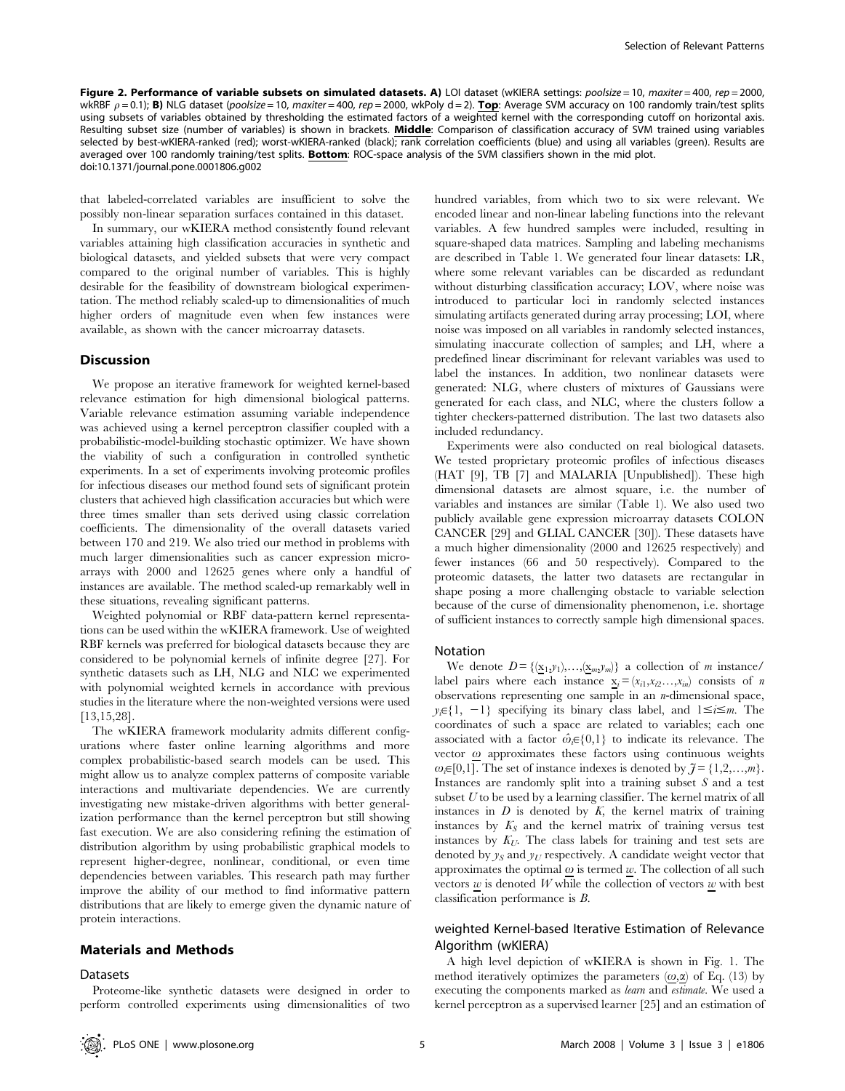Figure 2. Performance of variable subsets on simulated datasets. A) LOI dataset (wKIERA settings: poolsize = 10, maxiter = 400, rep = 2000, wkRBF  $\rho = 0.1$ ); B) NLG dataset (poolsize = 10, maxiter = 400, rep = 2000, wkPoly d = 2). Top: Average SVM accuracy on 100 randomly train/test splits using subsets of variables obtained by thresholding the estimated factors of a weighted kernel with the corresponding cutoff on horizontal axis. Resulting subset size (number of variables) is shown in brackets. Middle: Comparison of classification accuracy of SVM trained using variables selected by best-wKIERA-ranked (red); worst-wKIERA-ranked (black); rank correlation coefficients (blue) and using all variables (green). Results are averaged over 100 randomly training/test splits. Bottom: ROC-space analysis of the SVM classifiers shown in the mid plot. doi:10.1371/journal.pone.0001806.g002

that labeled-correlated variables are insufficient to solve the possibly non-linear separation surfaces contained in this dataset.

In summary, our wKIERA method consistently found relevant variables attaining high classification accuracies in synthetic and biological datasets, and yielded subsets that were very compact compared to the original number of variables. This is highly desirable for the feasibility of downstream biological experimentation. The method reliably scaled-up to dimensionalities of much higher orders of magnitude even when few instances were available, as shown with the cancer microarray datasets.

# **Discussion**

We propose an iterative framework for weighted kernel-based relevance estimation for high dimensional biological patterns. Variable relevance estimation assuming variable independence was achieved using a kernel perceptron classifier coupled with a probabilistic-model-building stochastic optimizer. We have shown the viability of such a configuration in controlled synthetic experiments. In a set of experiments involving proteomic profiles for infectious diseases our method found sets of significant protein clusters that achieved high classification accuracies but which were three times smaller than sets derived using classic correlation coefficients. The dimensionality of the overall datasets varied between 170 and 219. We also tried our method in problems with much larger dimensionalities such as cancer expression microarrays with 2000 and 12625 genes where only a handful of instances are available. The method scaled-up remarkably well in these situations, revealing significant patterns.

Weighted polynomial or RBF data-pattern kernel representations can be used within the wKIERA framework. Use of weighted RBF kernels was preferred for biological datasets because they are considered to be polynomial kernels of infinite degree [27]. For synthetic datasets such as LH, NLG and NLC we experimented with polynomial weighted kernels in accordance with previous studies in the literature where the non-weighted versions were used [13,15,28].

The wKIERA framework modularity admits different configurations where faster online learning algorithms and more complex probabilistic-based search models can be used. This might allow us to analyze complex patterns of composite variable interactions and multivariate dependencies. We are currently investigating new mistake-driven algorithms with better generalization performance than the kernel perceptron but still showing fast execution. We are also considering refining the estimation of distribution algorithm by using probabilistic graphical models to represent higher-degree, nonlinear, conditional, or even time dependencies between variables. This research path may further improve the ability of our method to find informative pattern distributions that are likely to emerge given the dynamic nature of protein interactions.

#### Materials and Methods

#### Datasets

Proteome-like synthetic datasets were designed in order to perform controlled experiments using dimensionalities of two hundred variables, from which two to six were relevant. We encoded linear and non-linear labeling functions into the relevant variables. A few hundred samples were included, resulting in square-shaped data matrices. Sampling and labeling mechanisms are described in Table 1. We generated four linear datasets: LR, where some relevant variables can be discarded as redundant without disturbing classification accuracy; LOV, where noise was introduced to particular loci in randomly selected instances simulating artifacts generated during array processing; LOI, where noise was imposed on all variables in randomly selected instances, simulating inaccurate collection of samples; and LH, where a predefined linear discriminant for relevant variables was used to label the instances. In addition, two nonlinear datasets were generated: NLG, where clusters of mixtures of Gaussians were generated for each class, and NLC, where the clusters follow a tighter checkers-patterned distribution. The last two datasets also included redundancy.

Experiments were also conducted on real biological datasets. We tested proprietary proteomic profiles of infectious diseases (HAT [9], TB [7] and MALARIA [Unpublished]). These high dimensional datasets are almost square, i.e. the number of variables and instances are similar (Table 1). We also used two publicly available gene expression microarray datasets COLON CANCER [29] and GLIAL CANCER [30]). These datasets have a much higher dimensionality (2000 and 12625 respectively) and fewer instances (66 and 50 respectively). Compared to the proteomic datasets, the latter two datasets are rectangular in shape posing a more challenging obstacle to variable selection because of the curse of dimensionality phenomenon, i.e. shortage of sufficient instances to correctly sample high dimensional spaces.

#### Notation

We denote  $D = \{(\underline{x}_1, y_1), \ldots, (\underline{x}_m, y_m)\}$  a collection of *m* instance/ label pairs where each instance  $x_i = (x_{i1}, x_{i2}, \ldots, x_{in})$  consists of n observations representing one sample in an n-dimensional space,  $y_i \in \{1, -1\}$  specifying its binary class label, and  $1 \le i \le m$ . The coordinates of such a space are related to variables; each one associated with a factor  $\hat{\omega}_{i} \in \{0,1\}$  to indicate its relevance. The vector  $\omega$  approximates these factors using continuous weights  $\omega_i \in [0,1]$ . The set of instance indexes is denoted by  $\tilde{\jmath} = \{1,2,\ldots,m\}$ . Instances are randomly split into a training subset S and a test subset  $U$  to be used by a learning classifier. The kernel matrix of all instances in  $D$  is denoted by  $K$ , the kernel matrix of training instances by  $K_S$  and the kernel matrix of training versus test instances by  $K_U$ . The class labels for training and test sets are denoted by  $y_S$  and  $y_U$  respectively. A candidate weight vector that approximates the optimal  $\omega$  is termed  $w$ . The collection of all such vectors  $w$  is denoted  $W$  while the collection of vectors  $w$  with best classification performance is B.

# weighted Kernel-based Iterative Estimation of Relevance Algorithm (wKIERA)

A high level depiction of wKIERA is shown in Fig. 1. The method iteratively optimizes the parameters  $(\omega, \alpha)$  of Eq. (13) by executing the components marked as learn and estimate. We used a kernel perceptron as a supervised learner [25] and an estimation of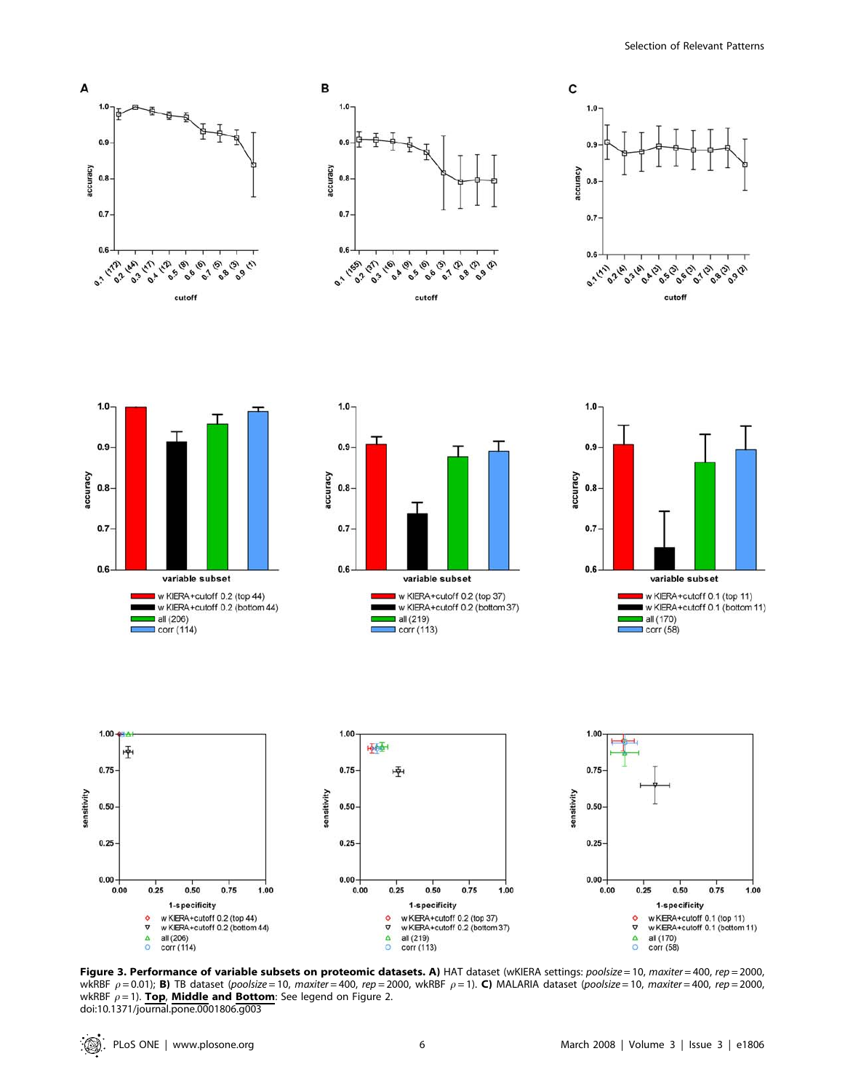













Figure 3. Performance of variable subsets on proteomic datasets. A) HAT dataset (wKIERA settings: poolsize = 10, maxiter = 400, rep = 2000, wkRBF  $\rho = 0.01$ ; B) TB dataset (poolsize = 10, maxiter = 400, rep = 2000, wkRBF  $\rho = 1$ ). C) MALARIA dataset (poolsize = 10, maxiter = 400, rep = 2000, wkRBF  $\rho = 1$ ). Top, Middle and Bottom: See legend on Figure 2. doi:10.1371/journal.pone.0001806.g003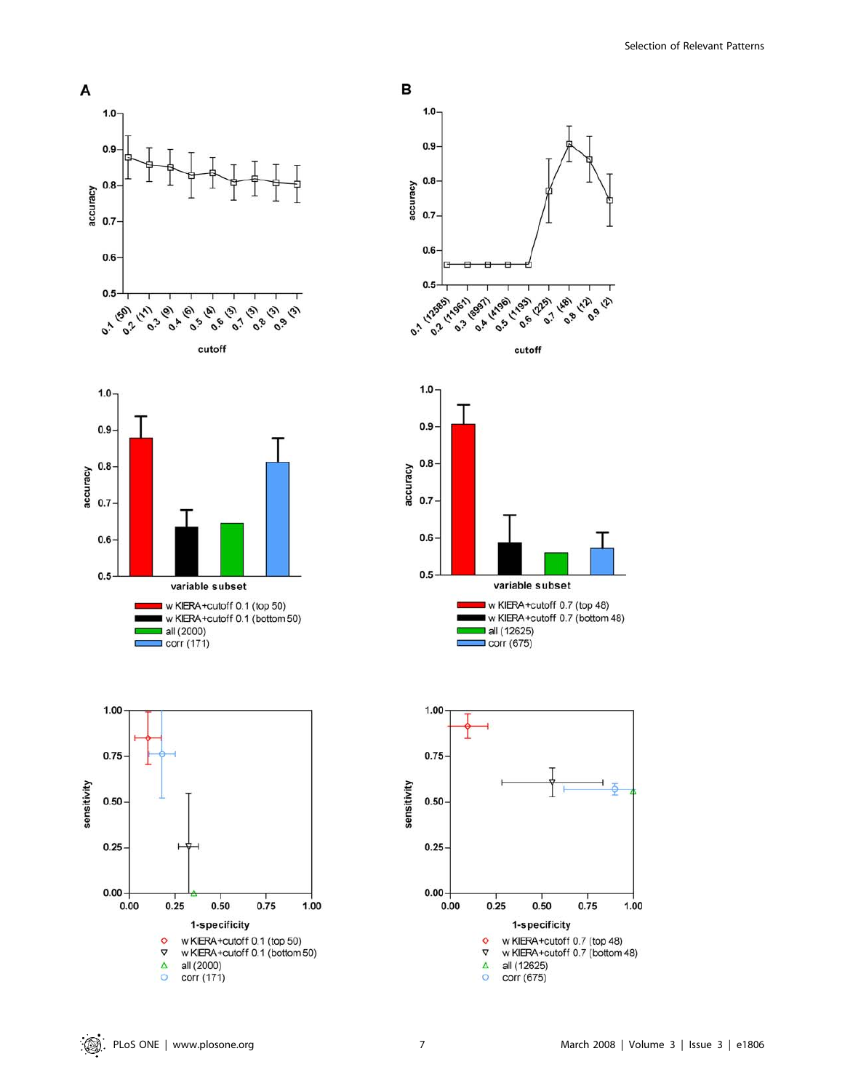













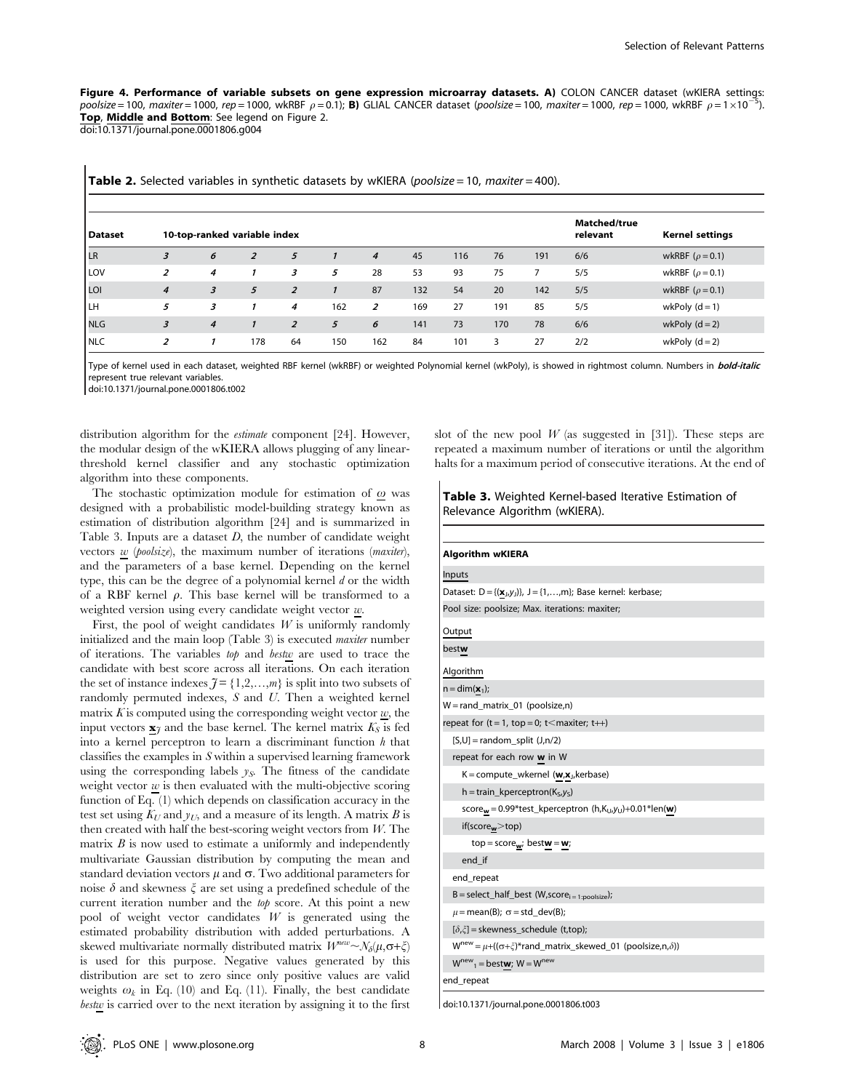Figure 4. Performance of variable subsets on gene expression microarray datasets. A) COLON CANCER dataset (wKIERA settings: poolsize = 100, maxiter = 1000, rep = 1000, wkRBF  $\rho$  = 0.1); **B**) GLIAL CANCER dataset (poolsize = 100, maxiter = 1000, rep = 1000, wkRBF  $\rho$  = 1×10<sup>-5</sup>). Top, Middle and Bottom: See legend on Figure 2. doi:10.1371/journal.pone.0001806.g004

| <b>Dataset</b> |                         | 10-top-ranked variable index |                |                |     |                |     |     |     |     | <b>Matched/true</b><br>relevant | <b>Kernel settings</b> |
|----------------|-------------------------|------------------------------|----------------|----------------|-----|----------------|-----|-----|-----|-----|---------------------------------|------------------------|
| LR             | 3                       | 6                            | $\overline{2}$ | 5              |     | $\overline{4}$ | 45  | 116 | 76  | 191 | 6/6                             | wkRBF ( $\rho$ = 0.1)  |
| LOV            | 2                       | 4                            |                | 3              | 5   | 28             | 53  | 93  | 75  | 7   | 5/5                             | wkRBF ( $\rho$ = 0.1)  |
| LOI            | $\overline{4}$          | $\overline{3}$               | 5              | $\overline{z}$ |     | 87             | 132 | 54  | 20  | 142 | 5/5                             | wkRBF ( $\rho$ = 0.1)  |
| I LH           | 5                       | 3                            |                | 4              | 162 | 2              | 169 | 27  | 191 | 85  | 5/5                             | wkPoly $(d=1)$         |
| <b>NLG</b>     | $\overline{\mathbf{3}}$ | $\overline{4}$               |                | $\overline{z}$ | 5   | 6              | 141 | 73  | 170 | 78  | 6/6                             | wkPoly $(d=2)$         |
| NLC            | 2                       |                              | 178            | 64             | 150 | 162            | 84  | 101 | 3   | 27  | 2/2                             | wkPoly $(d=2)$         |

Type of kernel used in each dataset, weighted RBF kernel (wkRBF) or weighted Polynomial kernel (wkPoly), is showed in rightmost column. Numbers in bold-italic represent true relevant variables.

doi:10.1371/journal.pone.0001806.t002

 $\overline{\phantom{a}}$ 

distribution algorithm for the estimate component [24]. However, the modular design of the wKIERA allows plugging of any linearthreshold kernel classifier and any stochastic optimization algorithm into these components.

The stochastic optimization module for estimation of  $\omega$  was designed with a probabilistic model-building strategy known as estimation of distribution algorithm [24] and is summarized in Table 3. Inputs are a dataset  $D$ , the number of candidate weight vectors w (poolsize), the maximum number of iterations (maxiter), and the parameters of a base kernel. Depending on the kernel type, this can be the degree of a polynomial kernel  $d$  or the width of a RBF kernel  $\rho$ . This base kernel will be transformed to a weighted version using every candidate weight vector  $w$ .

First, the pool of weight candidates  $W$  is uniformly randomly initialized and the main loop (Table 3) is executed maxiter number of iterations. The variables top and bestw are used to trace the candidate with best score across all iterations. On each iteration the set of instance indexes  $\mathcal{J} = \{1,2,\ldots,m\}$  is split into two subsets of randomly permuted indexes, S and U. Then a weighted kernel matrix  $K$  is computed using the corresponding weight vector  $w$ , the input vectors  $\underline{\mathbf{x}}_j$  and the base kernel. The kernel matrix  $K_S$  is fed into a kernel perceptron to learn a discriminant function  $h$  that classifies the examples in S within a supervised learning framework using the corresponding labels  $y_s$ . The fitness of the candidate weight vector  $\underline{w}$  is then evaluated with the multi-objective scoring function of Eq. (1) which depends on classification accuracy in the test set using  $K_U$  and  $y_U$ , and a measure of its length. A matrix B is then created with half the best-scoring weight vectors from  $W$ . The matrix  $B$  is now used to estimate a uniformly and independently multivariate Gaussian distribution by computing the mean and standard deviation vectors  $\mu$  and  $\sigma$ . Two additional parameters for noise  $\delta$  and skewness  $\xi$  are set using a predefined schedule of the current iteration number and the top score. At this point a new pool of weight vector candidates  $W$  is generated using the estimated probability distribution with added perturbations. A skewed multivariate normally distributed matrix  $W^{new} \sim N_{\delta}(\mu, \sigma + \xi)$ is used for this purpose. Negative values generated by this distribution are set to zero since only positive values are valid weights  $\omega_k$  in Eq. (10) and Eq. (11). Finally, the best candidate bestw is carried over to the next iteration by assigning it to the first

slot of the new pool  $W$  (as suggested in [31]). These steps are repeated a maximum number of iterations or until the algorithm halts for a maximum period of consecutive iterations. At the end of

# Table 3. Weighted Kernel-based Iterative Estimation of Relevance Algorithm (wKIERA).

| <b>Algorithm wKIERA</b>                                                                                                                                                          |
|----------------------------------------------------------------------------------------------------------------------------------------------------------------------------------|
| Inputs<br>Dataset: $D = \{(\underline{\mathbf{x}}_j, y_j)\}, \ J = \{1, \ldots, m\};$ Base kernel: kerbase;<br>Pool size: poolsize; Max. iterations: maxiter;<br>Output<br>bestw |
|                                                                                                                                                                                  |
|                                                                                                                                                                                  |
|                                                                                                                                                                                  |
|                                                                                                                                                                                  |
|                                                                                                                                                                                  |
| Algorithm                                                                                                                                                                        |
| $n = dim(\mathbf{x}_1);$                                                                                                                                                         |
| $W = rand_matrix_01 (poolsize,n)$                                                                                                                                                |
| repeat for $(t = 1, top = 0; t <$ maxiter; $t \rightarrow$                                                                                                                       |
| $[S,U]$ = random_split $(J,n/2)$                                                                                                                                                 |
| repeat for each row w in W                                                                                                                                                       |
| $K = compute$ wkernel (w,x <sub>j</sub> , kerbase)                                                                                                                               |
| $h = train\_kperceptron(K_S, y_S)$                                                                                                                                               |
| score <sub>w</sub> = 0.99*test_kperceptron (h,K <sub>U</sub> ,y <sub>U</sub> )+0.01*len(w)                                                                                       |
| if(score <sub>w</sub> >top)                                                                                                                                                      |
| $top = score_w$ ; bestw = w;                                                                                                                                                     |
| end if                                                                                                                                                                           |
| end_repeat                                                                                                                                                                       |
| $B = select\_half\_best$ (W,score <sub>i = 1:poolsize</sub> );                                                                                                                   |
| $\mu$ = mean(B); $\sigma$ = std_dev(B);                                                                                                                                          |
| $[\delta,\xi]$ = skewness_schedule (t,top);                                                                                                                                      |
| $W^{new} = \mu + ((\sigma + \xi)^*$ rand_matrix_skewed_01 (poolsize,n, $\delta$ ))                                                                                               |
| $W^{new}$ <sub>1</sub> = bestw; $W = W^{new}$                                                                                                                                    |
| end_repeat                                                                                                                                                                       |

doi:10.1371/journal.pone.0001806.t003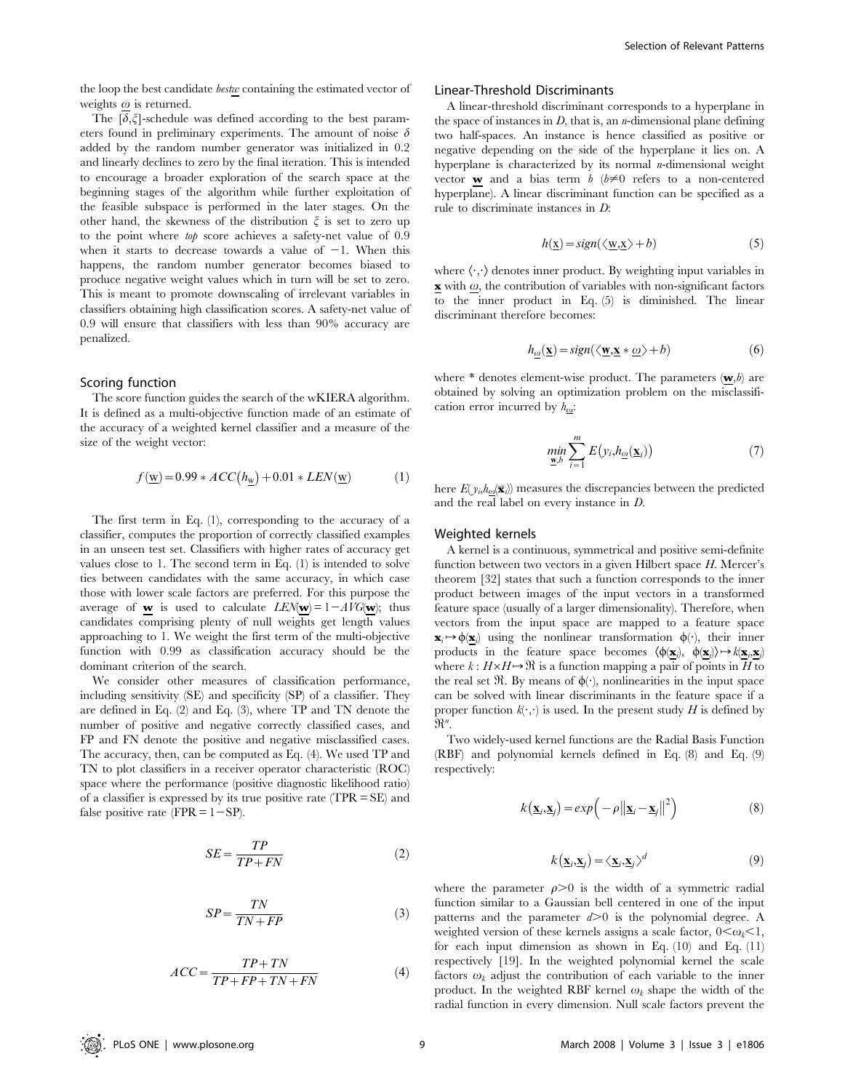the loop the best candidate *bestw* containing the estimated vector of weights  $\omega$  is returned.

The  $[\delta,\xi]$ -schedule was defined according to the best parameters found in preliminary experiments. The amount of noise  $\delta$ added by the random number generator was initialized in 0.2 and linearly declines to zero by the final iteration. This is intended to encourage a broader exploration of the search space at the beginning stages of the algorithm while further exploitation of the feasible subspace is performed in the later stages. On the other hand, the skewness of the distribution  $\xi$  is set to zero up to the point where top score achieves a safety-net value of 0.9 when it starts to decrease towards a value of  $-1$ . When this happens, the random number generator becomes biased to produce negative weight values which in turn will be set to zero. This is meant to promote downscaling of irrelevant variables in classifiers obtaining high classification scores. A safety-net value of 0.9 will ensure that classifiers with less than 90% accuracy are penalized.

#### Scoring function

The score function guides the search of the wKIERA algorithm. It is defined as a multi-objective function made of an estimate of the accuracy of a weighted kernel classifier and a measure of the size of the weight vector:

$$
f(\underline{w}) = 0.99 * ACC(h_{\underline{w}}) + 0.01 * LEN(\underline{w})
$$
 (1)

The first term in Eq. (1), corresponding to the accuracy of a classifier, computes the proportion of correctly classified examples in an unseen test set. Classifiers with higher rates of accuracy get values close to 1. The second term in Eq. (1) is intended to solve ties between candidates with the same accuracy, in which case those with lower scale factors are preferred. For this purpose the average of **w** is used to calculate  $LEM(w) = 1 - AVG(w)$ ; thus candidates comprising plenty of null weights get length values approaching to 1. We weight the first term of the multi-objective function with 0.99 as classification accuracy should be the dominant criterion of the search.

We consider other measures of classification performance, including sensitivity (SE) and specificity (SP) of a classifier. They are defined in Eq. (2) and Eq. (3), where TP and TN denote the number of positive and negative correctly classified cases, and FP and FN denote the positive and negative misclassified cases. The accuracy, then, can be computed as Eq. (4). We used TP and TN to plot classifiers in a receiver operator characteristic (ROC) space where the performance (positive diagnostic likelihood ratio) of a classifier is expressed by its true positive rate (TPR = SE) and false positive rate (FPR  $= 1 - SP$ ).

$$
SE = \frac{TP}{TP + FN} \tag{2}
$$

$$
SP = \frac{TN}{TN + FP}
$$
 (3)

$$
ACC = \frac{TP + TN}{TP + FP + TN + FN}
$$
 (4)

# Linear-Threshold Discriminants

A linear-threshold discriminant corresponds to a hyperplane in the space of instances in  $D$ , that is, an *n*-dimensional plane defining two half-spaces. An instance is hence classified as positive or negative depending on the side of the hyperplane it lies on. A hyperplane is characterized by its normal  $n$ -dimensional weight vector **w** and a bias term  $b$  ( $b \neq 0$  refers to a non-centered hyperplane). A linear discriminant function can be specified as a rule to discriminate instances in D:

$$
h(\underline{x}) = sign(\langle \underline{w}, \underline{x} \rangle + b)
$$
 (5)

where  $\langle \cdot, \cdot \rangle$  denotes inner product. By weighting input variables in  $\mathbf x$  with  $\omega$ , the contribution of variables with non-significant factors to the inner product in Eq. (5) is diminished. The linear discriminant therefore becomes:

$$
h_{\underline{\omega}}(\underline{\mathbf{x}}) = sign(\langle \underline{\mathbf{w}}, \underline{\mathbf{x}} * \underline{\omega} \rangle + b)
$$
(6)

where  $*$  denotes element-wise product. The parameters  $(w, b)$  are obtained by solving an optimization problem on the misclassification error incurred by  $h_{\omega}$ :

$$
\min_{\underline{\mathbf{w}},b} \sum_{i=1}^{m} E(y_i, h_{\underline{\omega}}(\underline{\mathbf{x}}_i))
$$
\n(7)

here  $E(y_i, h_{\omega}(\vec{x}_i))$  measures the discrepancies between the predicted and the real label on every instance in D.

#### Weighted kernels

A kernel is a continuous, symmetrical and positive semi-definite function between two vectors in a given Hilbert space  $H$ . Mercer's theorem [32] states that such a function corresponds to the inner product between images of the input vectors in a transformed feature space (usually of a larger dimensionality). Therefore, when vectors from the input space are mapped to a feature space  $\mathbf{x}_i \mapsto \phi(\underline{\mathbf{x}}_i)$  using the nonlinear transformation  $\phi(\cdot)$ , their inner products in the feature space becomes  $\langle \phi(\mathbf{x}_i), \phi(\mathbf{x}_j) \rangle \rightarrow k(\mathbf{x}_i, \mathbf{x}_j)$ where  $k : H \times H \rightarrow \Re$  is a function mapping a pair of points in H to the real set  $\mathfrak{R}$ . By means of  $\phi(\cdot)$ , nonlinearities in the input space can be solved with linear discriminants in the feature space if a proper function  $k(\cdot, \cdot)$  is used. In the present study H is defined by  $\mathfrak{R}^n$ .

Two widely-used kernel functions are the Radial Basis Function (RBF) and polynomial kernels defined in Eq. (8) and Eq. (9) respectively:

$$
k(\underline{\mathbf{x}}_i, \underline{\mathbf{x}}_j) = exp(-\rho ||\underline{\mathbf{x}}_i - \underline{\mathbf{x}}_j||^2)
$$
 (8)

$$
k(\underline{\mathbf{x}}_i, \underline{\mathbf{x}}_j) = \langle \underline{\mathbf{x}}_i, \underline{\mathbf{x}}_j \rangle^d
$$
 (9)

where the parameter  $\rho > 0$  is the width of a symmetric radial function similar to a Gaussian bell centered in one of the input patterns and the parameter  $d > 0$  is the polynomial degree. A weighted version of these kernels assigns a scale factor,  $0<\omega_k<1$ , for each input dimension as shown in Eq. (10) and Eq. (11) respectively [19]. In the weighted polynomial kernel the scale factors  $\omega_k$  adjust the contribution of each variable to the inner product. In the weighted RBF kernel  $\omega_k$  shape the width of the radial function in every dimension. Null scale factors prevent the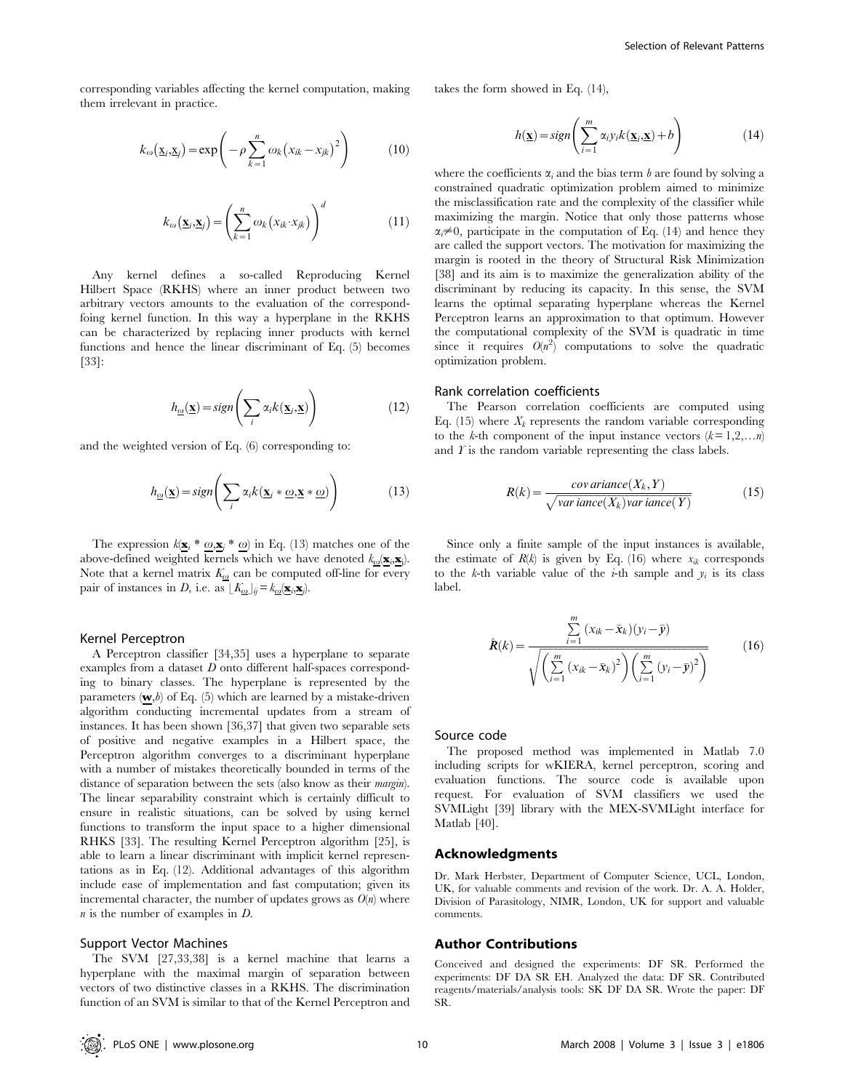corresponding variables affecting the kernel computation, making them irrelevant in practice.

$$
k_{\omega}(\underline{\mathbf{x}}_i, \underline{\mathbf{x}}_j) = \exp\left(-\rho \sum_{k=1}^n \omega_k (x_{ik} - x_{jk})^2\right) \tag{10}
$$

$$
k_{\omega}(\underline{\mathbf{x}}_i, \underline{\mathbf{x}}_j) = \left(\sum_{k=1}^n \omega_k(x_{ik} \cdot x_{jk})\right)^d \tag{11}
$$

Any kernel defines a so-called Reproducing Kernel Hilbert Space (RKHS) where an inner product between two arbitrary vectors amounts to the evaluation of the correspondfoing kernel function. In this way a hyperplane in the RKHS can be characterized by replacing inner products with kernel functions and hence the linear discriminant of Eq. (5) becomes [33]:

$$
h_{\underline{\omega}}(\underline{\mathbf{x}}) = sign\left(\sum_{i} \alpha_{i} k(\underline{\mathbf{x}}_{i}, \underline{\mathbf{x}})\right)
$$
(12)

and the weighted version of Eq. (6) corresponding to:

$$
h_{\underline{\omega}}(\underline{\mathbf{x}}) = sign\left(\sum_{i} \alpha_i k(\underline{\mathbf{x}}_i * \underline{\omega}, \underline{\mathbf{x}} * \underline{\omega})\right)
$$
(13)

The expression  $k(\mathbf{x}_i * \omega, \mathbf{x}_j * \omega)$  in Eq. (13) matches one of the above-defined weighted kernels which we have denoted  $k_{\omega}(\mathbf{x}_i, \mathbf{x}_j)$ . Note that a kernel matrix  $\mathit{K}_{\omega}$  can be computed off-line for every pair of instances in D, i.e. as  $\lfloor K_{\omega} \rfloor_{ij} = k_{\omega}(\mathbf{x}_i, \mathbf{x}_j)$ .

#### Kernel Perceptron

A Perceptron classifier [34,35] uses a hyperplane to separate examples from a dataset D onto different half-spaces corresponding to binary classes. The hyperplane is represented by the parameters  $(w, b)$  of Eq. (5) which are learned by a mistake-driven algorithm conducting incremental updates from a stream of instances. It has been shown [36,37] that given two separable sets of positive and negative examples in a Hilbert space, the Perceptron algorithm converges to a discriminant hyperplane with a number of mistakes theoretically bounded in terms of the distance of separation between the sets (also know as their *margin*). The linear separability constraint which is certainly difficult to ensure in realistic situations, can be solved by using kernel functions to transform the input space to a higher dimensional RHKS [33]. The resulting Kernel Perceptron algorithm [25], is able to learn a linear discriminant with implicit kernel representations as in Eq. (12). Additional advantages of this algorithm include ease of implementation and fast computation; given its incremental character, the number of updates grows as  $O(n)$  where  $n$  is the number of examples in  $D$ .

#### Support Vector Machines

The SVM [27,33,38] is a kernel machine that learns a hyperplane with the maximal margin of separation between vectors of two distinctive classes in a RKHS. The discrimination function of an SVM is similar to that of the Kernel Perceptron and takes the form showed in Eq. (14),

$$
h(\underline{\mathbf{x}}) = sign\left(\sum_{i=1}^{m} \alpha_i y_i k(\underline{\mathbf{x}}_i, \underline{\mathbf{x}}) + b\right)
$$
(14)

where the coefficients  $\alpha_i$  and the bias term b are found by solving a constrained quadratic optimization problem aimed to minimize the misclassification rate and the complexity of the classifier while maximizing the margin. Notice that only those patterns whose  $\alpha_i \neq 0$ , participate in the computation of Eq. (14) and hence they are called the support vectors. The motivation for maximizing the margin is rooted in the theory of Structural Risk Minimization [38] and its aim is to maximize the generalization ability of the discriminant by reducing its capacity. In this sense, the SVM learns the optimal separating hyperplane whereas the Kernel Perceptron learns an approximation to that optimum. However the computational complexity of the SVM is quadratic in time since it requires  $O(n^2)$  computations to solve the quadratic optimization problem.

#### Rank correlation coefficients

The Pearson correlation coefficients are computed using Eq. (15) where  $X_k$  represents the random variable corresponding to the k-th component of the input instance vectors  $(k = 1,2,...n)$ and  $\hat{T}$  is the random variable representing the class labels.

$$
R(k) = \frac{cov\,ariance(X_k, Y)}{\sqrt{var\,iance(X_k)var\,iance(Y)}}\tag{15}
$$

Since only a finite sample of the input instances is available, the estimate of  $R(k)$  is given by Eq. (16) where  $x_{ik}$  corresponds to the k-th variable value of the *i*-th sample and  $y_i$  is its class label.

$$
\hat{\mathbf{R}}(k) = \frac{\sum_{i=1}^{m} (x_{ik} - \bar{\mathbf{x}}_{k})(y_{i} - \bar{\mathbf{y}})}{\sqrt{\left(\sum_{i=1}^{m} (x_{ik} - \bar{\mathbf{x}}_{k})^{2}\right)\left(\sum_{i=1}^{m} (y_{i} - \bar{\mathbf{y}})^{2}\right)}}
$$
(16)

# Source code

The proposed method was implemented in Matlab 7.0 including scripts for wKIERA, kernel perceptron, scoring and evaluation functions. The source code is available upon request. For evaluation of SVM classifiers we used the SVMLight [39] library with the MEX-SVMLight interface for Matlab [40].

#### Acknowledgments

Dr. Mark Herbster, Department of Computer Science, UCL, London, UK, for valuable comments and revision of the work. Dr. A. A. Holder, Division of Parasitology, NIMR, London, UK for support and valuable comments.

#### Author Contributions

Conceived and designed the experiments: DF SR. Performed the experiments: DF DA SR EH. Analyzed the data: DF SR. Contributed reagents/materials/analysis tools: SK DF DA SR. Wrote the paper: DF SR.